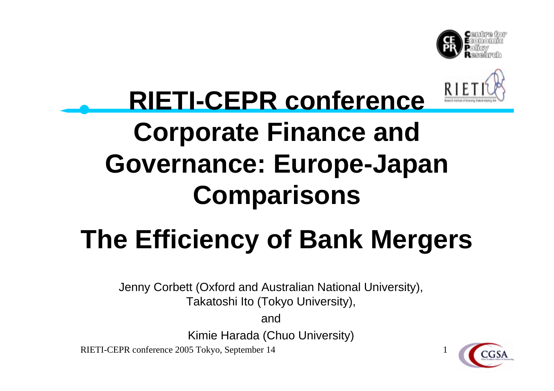



### **RIETI-CEPR conference Corporate Finance and Governance: Europe-Japan Comparisons**

## **The Efficiency of Bank Mergers**

Jenny Corbett (Oxford and Australian National University), Takatoshi Ito (Tokyo University),

and

Kimie Harada (Chuo University)

RIETI-CEPR conference 2005 Tokyo, September 14

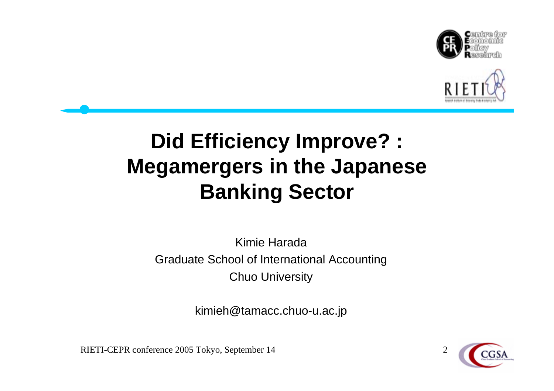



#### **Did Efficiency Improve? : Megamergers in the Japanese Banking Sector**

#### Kimie HaradaGraduate School of International Accounting Chuo University

kimieh@tamacc.chuo-u.ac.jp

RIETI-CEPR conference 2005 Tokyo, September 14 2

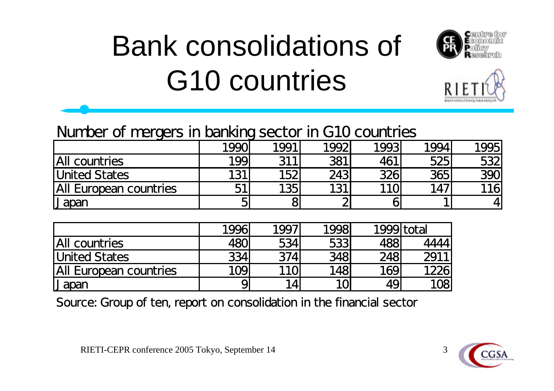# Bank consolidations of G10 countries





#### Number of mergers in banking sector in G10 countries

| . .                    | . .  |      |      |            |      |     |
|------------------------|------|------|------|------------|------|-----|
|                        | 1990 | 1991 | 1992 | 1993       | 1994 | 995 |
| All countries          | 199  | 311  | 381  | 461        | 525  | 532 |
| United States          | 131  | 152  | 243  | 326        | 365  | 390 |
| All European countries | ГИ   | 135  | 131  | <b>110</b> | 147  | 116 |
| Japan                  |      |      | ⌒    |            |      | 4   |

|                        | 1996       | 1997             | 1998       | 1999 total |       |
|------------------------|------------|------------------|------------|------------|-------|
| <b>All countries</b>   | <b>48C</b> | 5341             | 533        | 488        | 44441 |
| <b>United States</b>   | 334        | <b>374</b>       | <b>348</b> | 248        | 2911  |
| All European countries | 109        | 110 <sub>l</sub> | 148        | 169        | 1226  |
| I Japan                |            | 14               |            | 49         | 108   |

Source: Group of ten, report on consolidation in the financial sector



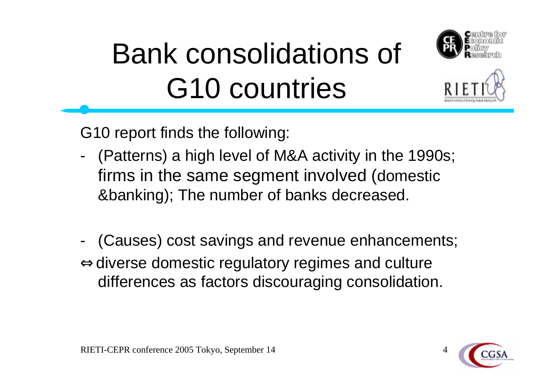

# Bank consolidations of G10 countries

G10 report finds the following:

- - (Patterns) a high level of M&A activity in the 1990s; firms in the same segment involved (domestic &banking); The number of banks decreased.
- - (Causes) cost savings and revenue enhancements; diverse domestic regulatory regimes and culture differences as factors discouraging consolidation.

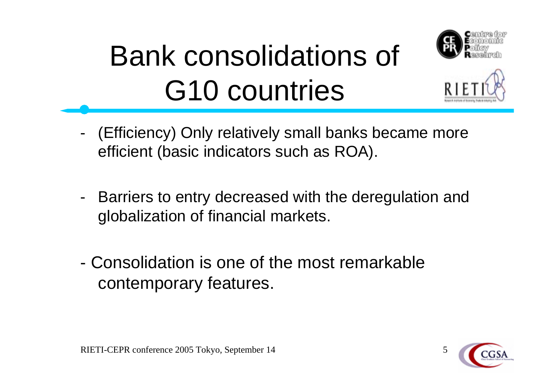



# Bank consolidations of G10 countries

- - (Efficiency) Only relatively small banks became more efficient (basic indicators such as ROA).
- - Barriers to entry decreased with the deregulation and globalization of financial markets.
- Consolidation is one of the most remarkable contemporary features.

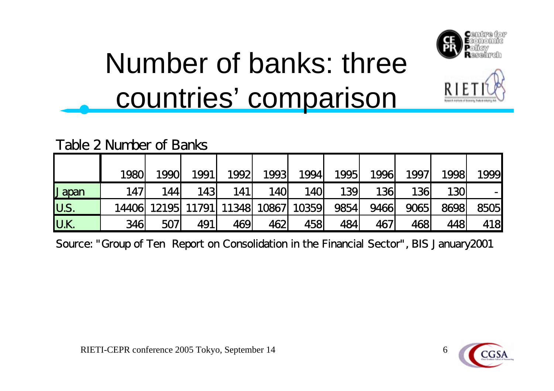



#### Table 2 Number of Banks

|             | <b>1980</b> | <b>1990</b> | 1991 | 1992                                | 1993       | 1994       | 1995 | 1996        | 1997 | 1998       | 1999 |
|-------------|-------------|-------------|------|-------------------------------------|------------|------------|------|-------------|------|------------|------|
| IJ apan     | <b>147</b>  | 144         | 143  | 141                                 | <b>140</b> | <b>140</b> | 139  | <b>136</b>  | 136  | <b>130</b> |      |
| <b>U.S.</b> |             |             |      | 14406 12195 11791 11348 10867 10359 |            |            | 9854 | 9466        | 9065 | 8698       | 8505 |
| <b>U.K.</b> | 346         | <b>507</b>  | 491  | 469                                 | 462        | 458        | 484  | <b>4671</b> | 4681 | 448        | 418  |

Source: "Group of Ten Report on Consolidation in the Financial Sector", BIS January2001



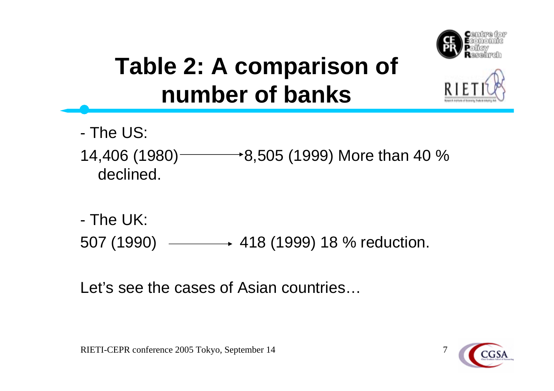

#### **Table 2: A comparison of number of banks**

- The US:
- 14,406 (1980)  $\longrightarrow$  8,505 (1999) More than 40 % declined.
- The UK: 507 (1990) - 418 (1999) 18 % reduction.

Let's see the cases of Asian countries…

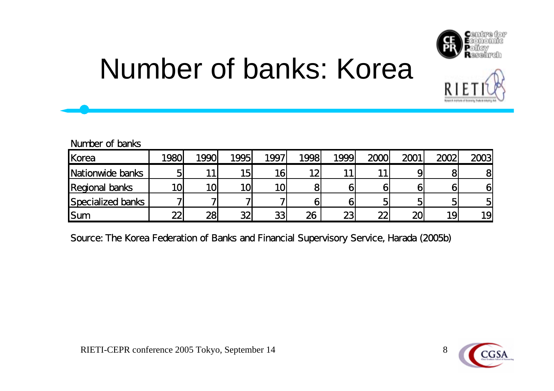

# Number of banks: Korea

#### Number of banks

| Korea                 | 1980 | 1990 | 1995 | 1997 | 1998 | 1999 | 2000 | 2001   | 2002 | 2003 |
|-----------------------|------|------|------|------|------|------|------|--------|------|------|
| Nationwide banks      |      |      | 15   |      | 10   |      |      |        |      | 8    |
| <b>Regional banks</b> | 10   | 10   | 10   |      |      |      |      |        |      |      |
| Specialized banks     |      |      |      |      |      |      |      |        |      |      |
| ISum                  | ∼    | 28   | 20   | つつ   | 26   | ာ    | ഹ    | $\sim$ |      | 19   |

Source: The Korea Federation of Banks and Financial Supervisory Service, Harada (2005b)



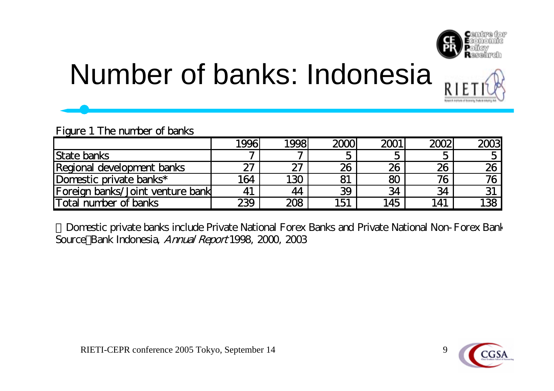



### Number of banks: Indonesia

#### Figure 1 The number of banks

|                                  | 1996' | 1998' | 2000 | 2001 | 2002 | 2003 |
|----------------------------------|-------|-------|------|------|------|------|
| <b>State banks</b>               |       |       |      |      |      |      |
| Regional development banks       | 27    | 27    | 26   | 26   | 26   | 26   |
| Domestic private banks*          | 164   | 130   | 81   |      | 76   | 76.  |
| Foreign banks/Joint venture bank | 41    | 44    | 39   | 34   | 34   |      |
| Total number of banks            | 239   | 208   | 151  | .45  | 141  | 138  |

Domestic private banks include Private National Forex Banks and Private National Non-Forex Bank Source:Bank Indonesia, Annual Report 1998, 2000, 2003

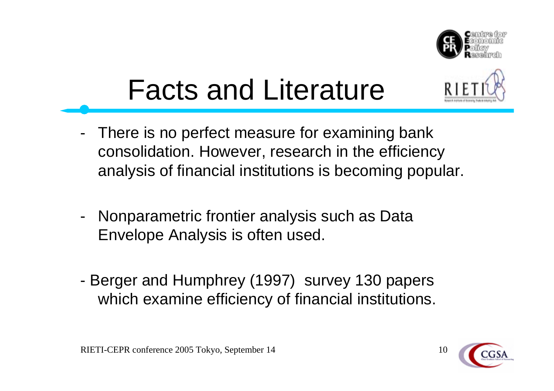

# Facts and Literature

- -- There is no perfect measure for examining bank consolidation. However, research in the efficiency analysis of financial institutions is becoming popular.
- -- Nonparametric frontier analysis such as Data Envelope Analysis is often used.
- - Berger and Humphrey (1997) survey 130 papers which examine efficiency of financial institutions.



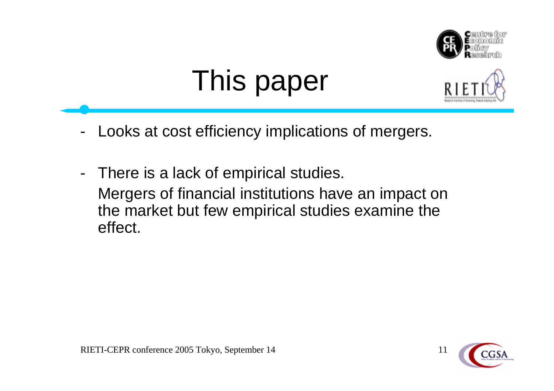

# This paper



- -Looks at cost efficiency implications of mergers.
- - There is a lack of empirical studies. Mergers of financial institutions have an impact on the market but few empirical studies examine the effect.



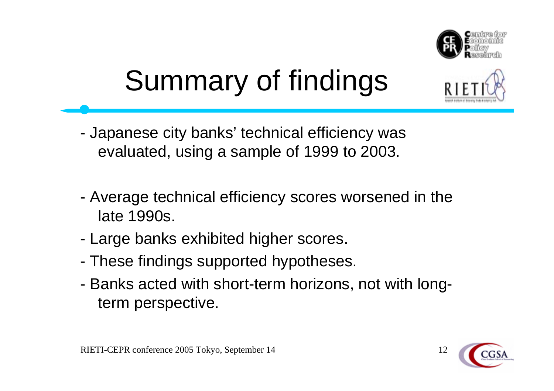

# Summary of findings

- - Japanese city banks' technical efficiency was evaluated, using a sample of 1999 to 2003.
- - Average technical efficiency scores worsened in the late 1990s.
- -Large banks exhibited higher scores.
- -These findings supported hypotheses.
- - Banks acted with short-term horizons, not with longterm perspective.



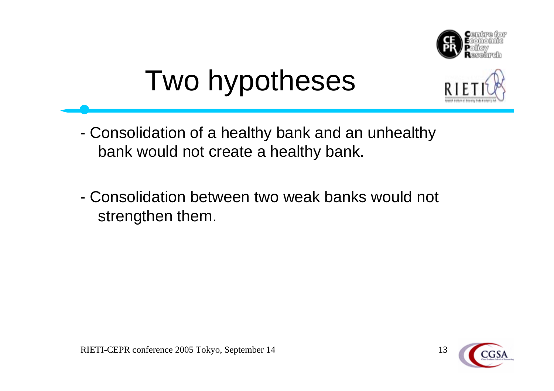

# Two hypotheses



- - Consolidation of a healthy bank and an unhealthy bank would not create a healthy bank.
- Consolidation between two weak banks would not strengthen them.

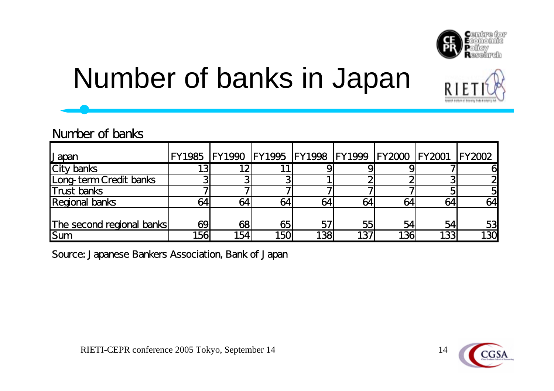

# Number of banks in Japan

#### Number of banks

| Japan                     | FY1985 FY1990 FY1995 FY1998 FY1999 FY2000 FY2001 FY2002 |     |     |     |     |     |     |     |
|---------------------------|---------------------------------------------------------|-----|-----|-----|-----|-----|-----|-----|
| <b>City banks</b>         |                                                         | 12  |     |     |     |     |     |     |
| Long-term Credit banks    |                                                         |     |     |     |     |     |     |     |
| <b>Trust banks</b>        |                                                         |     |     |     |     |     |     |     |
| <b>Regional banks</b>     |                                                         | 64  | 64  | 64  |     |     | 64  | 64  |
| The second regional banks | 69                                                      | 68  | 65  | 57  | 55  | 54  | 54  | 53  |
| Sum                       | 156                                                     | 154 | 150 | 138 | 137 | 136 | 133 | 130 |

Source: Japanese Bankers Association, Bank of Japan



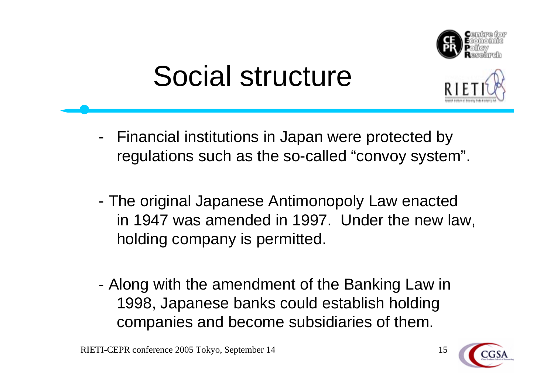

## Social structure



- -- Financial institutions in Japan were protected by regulations such as the so-called "convoy system".
- - The original Japanese Antimonopoly Law enacted in 1947 was amended in 1997. Under the new law, holding company is permitted.
- - Along with the amendment of the Banking Law in 1998, Japanese banks could establish holding companies and become subsidiaries of them.

RIETI-CEPR conference 2005 Tokyo, September 14 15

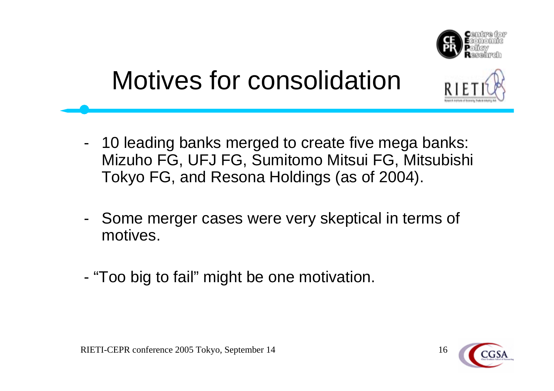

### Motives for consolidation

- - 10 leading banks merged to create five mega banks: Mizuho FG, UFJ FG, Sumitomo Mitsui FG, Mitsubishi Tokyo FG, and Resona Holdings (as of 2004).
- - Some merger cases were very skeptical in terms of motives.
- "Too big to fail" might be one motivation.

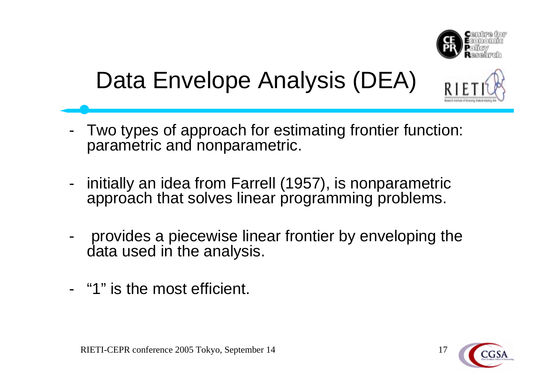

#### Data Envelope Analysis (DEA)

- - Two types of approach for estimating frontier function: parametric and nonparametric.
- initially an idea from Farrell (1957), is nonparametric approach that solves linear programming problems.
- provides a piecewise linear frontier by enveloping the data used in the analysis.
- -"1" is the most efficient.

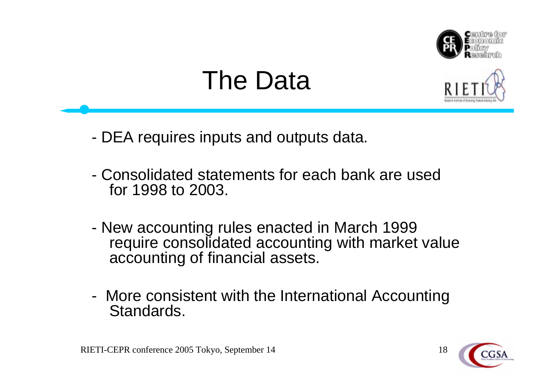

#### The Data



- -DEA requires inputs and outputs data.
- Consolidated statements for each bank are used for 1998 to 2003.
- - New accounting rules enacted in March 1999 require consolidated accounting with market value accounting of financial assets.
- - More consistent with the International Accounting Standards.



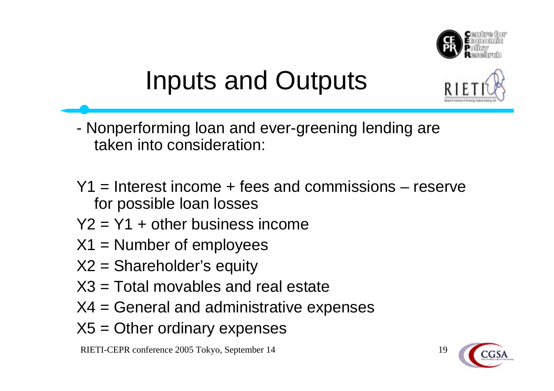

### Inputs and Outputs

- - Nonperforming loan and ever-greening lending are taken into consideration:
- Y1 = Interest income + fees and commissions reserve for possible loan losses
- $Y2 = Y1 + other business income$
- $X1 =$  Number of employees
- X2 = Shareholder's equity
- X3 = Total movables and real estate
- X4 = General and administrative expenses
- $X5 =$ Other ordinary expenses

RIETI-CEPR conference 2005 Tokyo, September 14 19



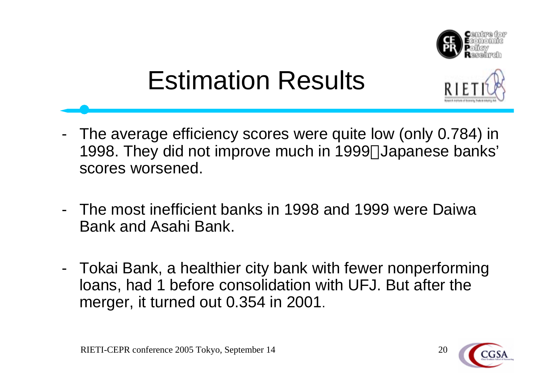

### Estimation Results

- 
- - The average efficiency scores were quite low (only 0.784) in 1998. They did not improve much in 1999 Japanese banks' scores worsened.
- The most inefficient banks in 1998 and 1999 were Daiwa Bank and Asahi Bank.
- - Tokai Bank, a healthier city bank with fewer nonperforming loans, had 1 before consolidation with UFJ. But after the merger, it turned out 0.354 in 2001.

RIETI-CEPR conference 2005 Tokyo, September 14 20

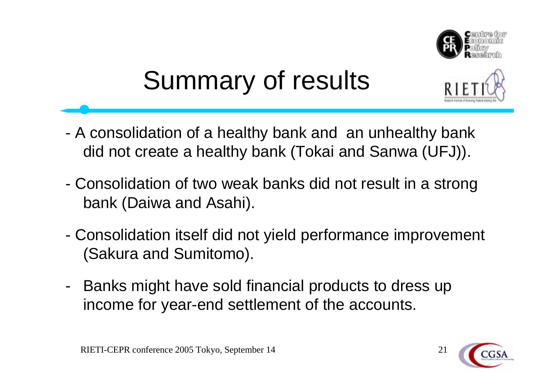

# Summary of results



- A consolidation of a healthy bank and an unhealthy bank did not create a healthy bank (Tokai and Sanwa (UFJ)).
- - Consolidation of two weak banks did not result in a strong bank (Daiwa and Asahi).
- - Consolidation itself did not yield performance improvement (Sakura and Sumitomo).
- - Banks might have sold financial products to dress up income for year-end settlement of the accounts.